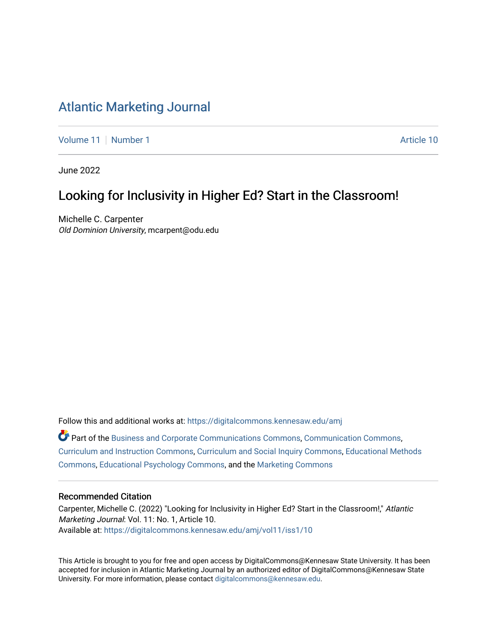# [Atlantic Marketing Journal](https://digitalcommons.kennesaw.edu/amj)

[Volume 11](https://digitalcommons.kennesaw.edu/amj/vol11) | [Number 1](https://digitalcommons.kennesaw.edu/amj/vol11/iss1) Article 10

June 2022

# Looking for Inclusivity in Higher Ed? Start in the Classroom!

Michelle C. Carpenter Old Dominion University, mcarpent@odu.edu

Follow this and additional works at: [https://digitalcommons.kennesaw.edu/amj](https://digitalcommons.kennesaw.edu/amj?utm_source=digitalcommons.kennesaw.edu%2Famj%2Fvol11%2Fiss1%2F10&utm_medium=PDF&utm_campaign=PDFCoverPages)  Part of the [Business and Corporate Communications Commons](https://network.bepress.com/hgg/discipline/627?utm_source=digitalcommons.kennesaw.edu%2Famj%2Fvol11%2Fiss1%2F10&utm_medium=PDF&utm_campaign=PDFCoverPages), [Communication Commons](https://network.bepress.com/hgg/discipline/325?utm_source=digitalcommons.kennesaw.edu%2Famj%2Fvol11%2Fiss1%2F10&utm_medium=PDF&utm_campaign=PDFCoverPages), [Curriculum and Instruction Commons,](https://network.bepress.com/hgg/discipline/786?utm_source=digitalcommons.kennesaw.edu%2Famj%2Fvol11%2Fiss1%2F10&utm_medium=PDF&utm_campaign=PDFCoverPages) [Curriculum and Social Inquiry Commons](https://network.bepress.com/hgg/discipline/1038?utm_source=digitalcommons.kennesaw.edu%2Famj%2Fvol11%2Fiss1%2F10&utm_medium=PDF&utm_campaign=PDFCoverPages), [Educational Methods](https://network.bepress.com/hgg/discipline/1227?utm_source=digitalcommons.kennesaw.edu%2Famj%2Fvol11%2Fiss1%2F10&utm_medium=PDF&utm_campaign=PDFCoverPages)  [Commons](https://network.bepress.com/hgg/discipline/1227?utm_source=digitalcommons.kennesaw.edu%2Famj%2Fvol11%2Fiss1%2F10&utm_medium=PDF&utm_campaign=PDFCoverPages), [Educational Psychology Commons,](https://network.bepress.com/hgg/discipline/798?utm_source=digitalcommons.kennesaw.edu%2Famj%2Fvol11%2Fiss1%2F10&utm_medium=PDF&utm_campaign=PDFCoverPages) and the [Marketing Commons](https://network.bepress.com/hgg/discipline/638?utm_source=digitalcommons.kennesaw.edu%2Famj%2Fvol11%2Fiss1%2F10&utm_medium=PDF&utm_campaign=PDFCoverPages)

#### Recommended Citation

Carpenter, Michelle C. (2022) "Looking for Inclusivity in Higher Ed? Start in the Classroom!," Atlantic Marketing Journal: Vol. 11: No. 1, Article 10. Available at: [https://digitalcommons.kennesaw.edu/amj/vol11/iss1/10](https://digitalcommons.kennesaw.edu/amj/vol11/iss1/10?utm_source=digitalcommons.kennesaw.edu%2Famj%2Fvol11%2Fiss1%2F10&utm_medium=PDF&utm_campaign=PDFCoverPages)

This Article is brought to you for free and open access by DigitalCommons@Kennesaw State University. It has been accepted for inclusion in Atlantic Marketing Journal by an authorized editor of DigitalCommons@Kennesaw State University. For more information, please contact [digitalcommons@kennesaw.edu.](mailto:digitalcommons@kennesaw.edu)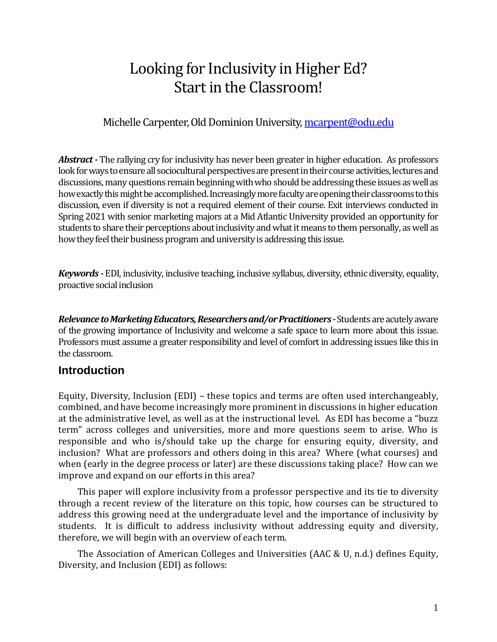# Looking for Inclusivity in Higher Ed? Start in the Classroom!

## Michelle Carpenter, Old Dominion University, [mcarpent@odu.edu](mailto:mcarpent@odu.edu)

*Abstract -* The rallying cry for inclusivity has never been greater in higher education. As professors look for ways to ensure all sociocultural perspectives are present in their course activities, lectures and discussions, many questions remain beginning with who should be addressing these issues as well as how exactly this might be accomplished. Increasingly more faculty are opening their classrooms to this discussion, even if diversity is not a required element of their course. Exit interviews conducted in Spring 2021 with senior marketing majors at a Mid Atlantic University provided an opportunity for students to share their perceptions about inclusivity and what it means to them personally, as well as how they feel their business program and university is addressing this issue.

*Keywords -* EDI, inclusivity, inclusive teaching, inclusive syllabus, diversity, ethnic diversity, equality, proactive social inclusion

*Relevance to Marketing Educators, Researchers and/or Practitioners -*Students are acutely aware of the growing importance of Inclusivity and welcome a safe space to learn more about this issue. Professors must assume a greater responsibility and level of comfort in addressing issues like this in the classroom.

## **Introduction**

Equity, Diversity, Inclusion (EDI) – these topics and terms are often used interchangeably, combined, and have become increasingly more prominent in discussions in higher education at the administrative level, as well as at the instructional level. As EDI has become a "buzz term" across colleges and universities, more and more questions seem to arise. Who is responsible and who is/should take up the charge for ensuring equity, diversity, and inclusion? What are professors and others doing in this area? Where (what courses) and when (early in the degree process or later) are these discussions taking place? How can we improve and expand on our efforts in this area?

This paper will explore inclusivity from a professor perspective and its tie to diversity through a recent review of the literature on this topic, how courses can be structured to address this growing need at the undergraduate level and the importance of inclusivity by students. It is difficult to address inclusivity without addressing equity and diversity, therefore, we will begin with an overview of each term.

The Association of American Colleges and Universities (AAC & U, n.d.) defines Equity, Diversity, and Inclusion (EDI) as follows: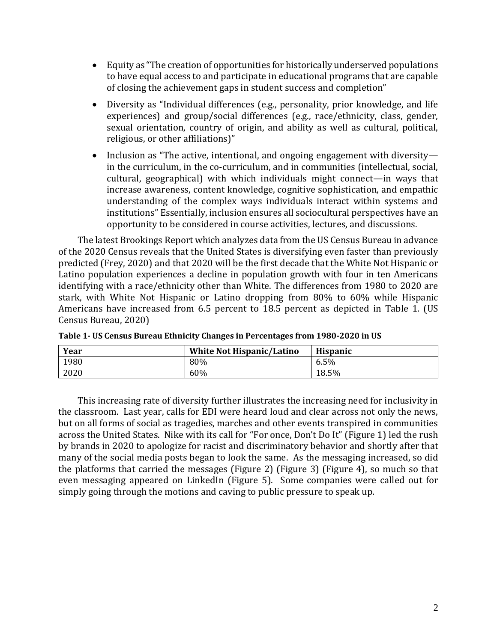- Equity as "The creation of opportunities for historically underserved populations to have equal access to and participate in educational programs that are capable of closing the achievement gaps in student success and completion"
- Diversity as "Individual differences (e.g., personality, prior knowledge, and life experiences) and group/social differences (e.g., race/ethnicity, class, gender, sexual orientation, country of origin, and ability as well as cultural, political, religious, or other affiliations)"
- Inclusion as "The active, intentional, and ongoing engagement with diversity in the curriculum, in the co-curriculum, and in communities (intellectual, social, cultural, geographical) with which individuals might connect—in ways that increase awareness, content knowledge, cognitive sophistication, and empathic understanding of the complex ways individuals interact within systems and institutions" Essentially, inclusion ensures all sociocultural perspectives have an opportunity to be considered in course activities, lectures, and discussions.

The latest Brookings Report which analyzes data from the US Census Bureau in advance of the 2020 Census reveals that the United States is diversifying even faster than previously predicted (Frey, 2020) and that 2020 will be the first decade that the White Not Hispanic or Latino population experiences a decline in population growth with four in ten Americans identifying with a race/ethnicity other than White. The differences from 1980 to 2020 are stark, with White Not Hispanic or Latino dropping from 80% to 60% while Hispanic Americans have increased from 6.5 percent to 18.5 percent as depicted in Table 1. (US Census Bureau, 2020)

| Year | <b>White Not Hispanic/Latino</b> | <b>Hispanic</b> |
|------|----------------------------------|-----------------|
| 1980 | 80%                              | 6.5%            |
| 2020 | 60%                              | 18.5%           |

**Table 1- US Census Bureau Ethnicity Changes in Percentages from 1980-2020 in US**

This increasing rate of diversity further illustrates the increasing need for inclusivity in the classroom. Last year, calls for EDI were heard loud and clear across not only the news, but on all forms of social as tragedies, marches and other events transpired in communities across the United States. Nike with its call for "For once, Don't Do It" (Figure 1) led the rush by brands in 2020 to apologize for racist and discriminatory behavior and shortly after that many of the social media posts began to look the same. As the messaging increased, so did the platforms that carried the messages (Figure 2) (Figure 3) (Figure 4), so much so that even messaging appeared on LinkedIn (Figure 5). Some companies were called out for simply going through the motions and caving to public pressure to speak up.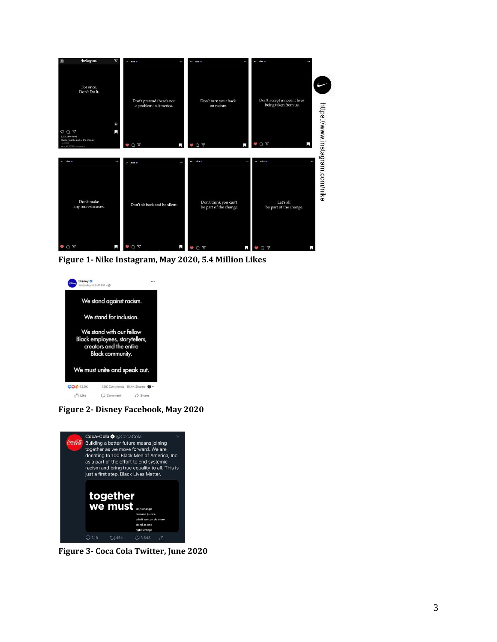

**Figure 1- Nike Instagram, May 2020, 5.4 Million Likes**



**Figure 2- Disney Facebook, May 2020**



**Figure 3- Coca Cola Twitter, June 2020**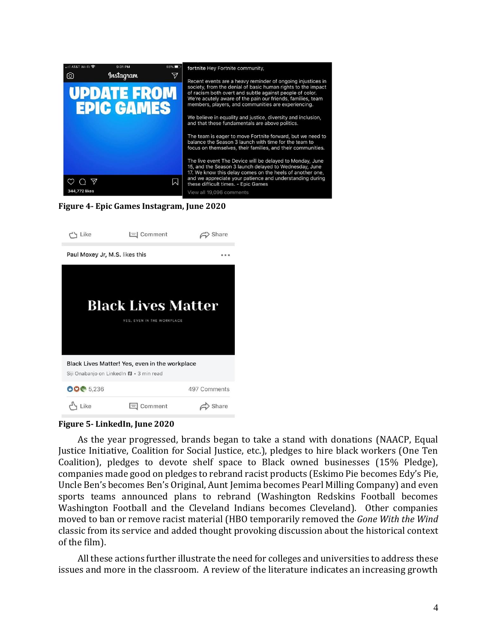

#### **Figure 4- Epic Games Instagram, June 2020**



**Figure 5- LinkedIn, June 2020**

As the year progressed, brands began to take a stand with donations (NAACP, Equal Justice Initiative, Coalition for Social Justice, etc.), pledges to hire black workers (One Ten Coalition), pledges to devote shelf space to Black owned businesses (15% Pledge), companies made good on pledges to rebrand racist products (Eskimo Pie becomes Edy's Pie, Uncle Ben's becomes Ben's Original, Aunt Jemima becomes Pearl Milling Company) and even sports teams announced plans to rebrand (Washington Redskins Football becomes Washington Football and the Cleveland Indians becomes Cleveland). Other companies moved to ban or remove racist material (HBO temporarily removed the *Gone With the Wind* classic from its service and added thought provoking discussion about the historical context of the film).

All these actions further illustrate the need for colleges and universities to address these issues and more in the classroom. A review of the literature indicates an increasing growth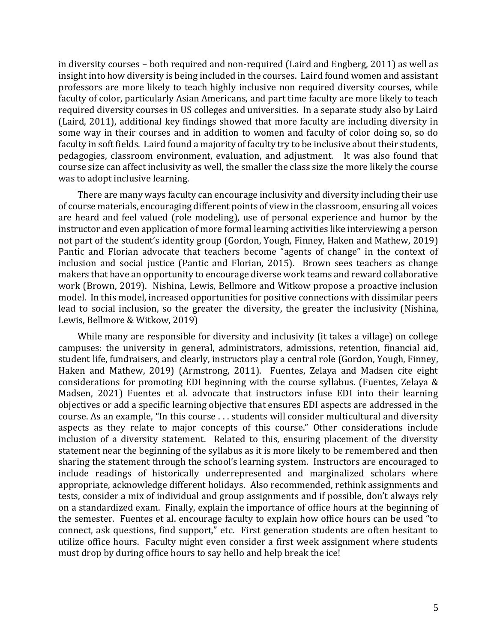in diversity courses – both required and non-required (Laird and Engberg, 2011) as well as insight into how diversity is being included in the courses. Laird found women and assistant professors are more likely to teach highly inclusive non required diversity courses, while faculty of color, particularly Asian Americans, and part time faculty are more likely to teach required diversity courses in US colleges and universities. In a separate study also by Laird (Laird, 2011), additional key findings showed that more faculty are including diversity in some way in their courses and in addition to women and faculty of color doing so, so do faculty in soft fields. Laird found a majority of faculty try to be inclusive about their students, pedagogies, classroom environment, evaluation, and adjustment. It was also found that course size can affect inclusivity as well, the smaller the class size the more likely the course was to adopt inclusive learning.

There are many ways faculty can encourage inclusivity and diversity including their use of course materials, encouraging different points of view in the classroom, ensuring all voices are heard and feel valued (role modeling), use of personal experience and humor by the instructor and even application of more formal learning activities like interviewing a person not part of the student's identity group (Gordon, Yough, Finney, Haken and Mathew, 2019) Pantic and Florian advocate that teachers become "agents of change" in the context of inclusion and social justice (Pantic and Florian, 2015). Brown sees teachers as change makers that have an opportunity to encourage diverse work teams and reward collaborative work (Brown, 2019). Nishina, Lewis, Bellmore and Witkow propose a proactive inclusion model. In this model, increased opportunities for positive connections with dissimilar peers lead to social inclusion, so the greater the diversity, the greater the inclusivity (Nishina, Lewis, Bellmore & Witkow, 2019)

While many are responsible for diversity and inclusivity (it takes a village) on college campuses: the university in general, administrators, admissions, retention, financial aid, student life, fundraisers, and clearly, instructors play a central role (Gordon, Yough, Finney, Haken and Mathew, 2019) (Armstrong, 2011). Fuentes, Zelaya and Madsen cite eight considerations for promoting EDI beginning with the course syllabus. (Fuentes, Zelaya & Madsen, 2021) Fuentes et al. advocate that instructors infuse EDI into their learning objectives or add a specific learning objective that ensures EDI aspects are addressed in the course. As an example, "In this course . . . students will consider multicultural and diversity aspects as they relate to major concepts of this course." Other considerations include inclusion of a diversity statement. Related to this, ensuring placement of the diversity statement near the beginning of the syllabus as it is more likely to be remembered and then sharing the statement through the school's learning system. Instructors are encouraged to include readings of historically underrepresented and marginalized scholars where appropriate, acknowledge different holidays. Also recommended, rethink assignments and tests, consider a mix of individual and group assignments and if possible, don't always rely on a standardized exam. Finally, explain the importance of office hours at the beginning of the semester. Fuentes et al. encourage faculty to explain how office hours can be used "to connect, ask questions, find support," etc. First generation students are often hesitant to utilize office hours. Faculty might even consider a first week assignment where students must drop by during office hours to say hello and help break the ice!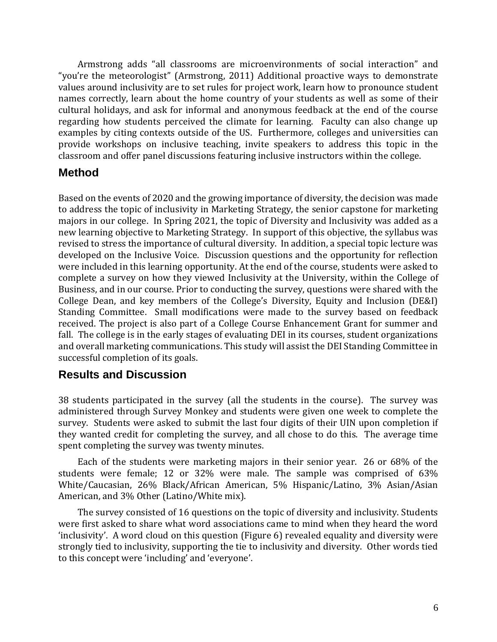Armstrong adds "all classrooms are microenvironments of social interaction" and "you're the meteorologist" (Armstrong, 2011) Additional proactive ways to demonstrate values around inclusivity are to set rules for project work, learn how to pronounce student names correctly, learn about the home country of your students as well as some of their cultural holidays, and ask for informal and anonymous feedback at the end of the course regarding how students perceived the climate for learning. Faculty can also change up examples by citing contexts outside of the US. Furthermore, colleges and universities can provide workshops on inclusive teaching, invite speakers to address this topic in the classroom and offer panel discussions featuring inclusive instructors within the college.

## **Method**

Based on the events of 2020 and the growing importance of diversity, the decision was made to address the topic of inclusivity in Marketing Strategy, the senior capstone for marketing majors in our college. In Spring 2021, the topic of Diversity and Inclusivity was added as a new learning objective to Marketing Strategy. In support of this objective, the syllabus was revised to stress the importance of cultural diversity. In addition, a special topic lecture was developed on the Inclusive Voice. Discussion questions and the opportunity for reflection were included in this learning opportunity. At the end of the course, students were asked to complete a survey on how they viewed Inclusivity at the University, within the College of Business, and in our course. Prior to conducting the survey, questions were shared with the College Dean, and key members of the College's Diversity, Equity and Inclusion (DE&I) Standing Committee. Small modifications were made to the survey based on feedback received. The project is also part of a College Course Enhancement Grant for summer and fall. The college is in the early stages of evaluating DEI in its courses, student organizations and overall marketing communications. This study will assist the DEI Standing Committee in successful completion of its goals.

#### **Results and Discussion**

38 students participated in the survey (all the students in the course). The survey was administered through Survey Monkey and students were given one week to complete the survey. Students were asked to submit the last four digits of their UIN upon completion if they wanted credit for completing the survey, and all chose to do this. The average time spent completing the survey was twenty minutes.

Each of the students were marketing majors in their senior year. 26 or 68% of the students were female; 12 or 32% were male. The sample was comprised of 63% White/Caucasian, 26% Black/African American, 5% Hispanic/Latino, 3% Asian/Asian American, and 3% Other (Latino/White mix).

The survey consisted of 16 questions on the topic of diversity and inclusivity. Students were first asked to share what word associations came to mind when they heard the word 'inclusivity'. A word cloud on this question (Figure 6) revealed equality and diversity were strongly tied to inclusivity, supporting the tie to inclusivity and diversity. Other words tied to this concept were 'including' and 'everyone'.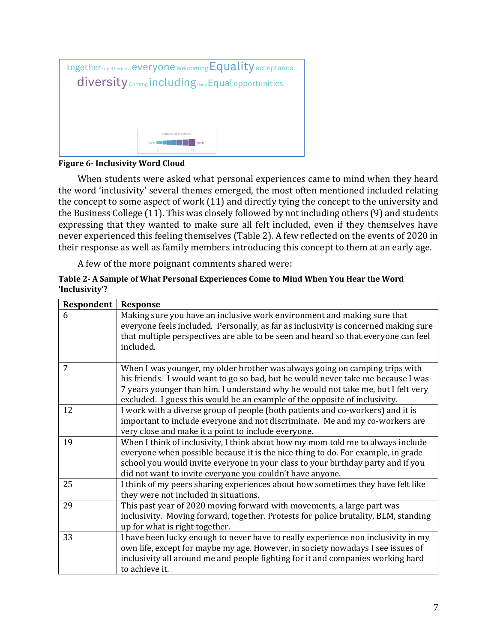

#### **Figure 6- Inclusivity Word Cloud**

When students were asked what personal experiences came to mind when they heard the word 'inclusivity' several themes emerged, the most often mentioned included relating the concept to some aspect of work (11) and directly tying the concept to the university and the Business College (11). This was closely followed by not including others (9) and students expressing that they wanted to make sure all felt included, even if they themselves have never experienced this feeling themselves (Table 2). A few reflected on the events of 2020 in their response as well as family members introducing this concept to them at an early age.

A few of the more poignant comments shared were:

| Table 2- A Sample of What Personal Experiences Come to Mind When You Hear the Word |  |
|------------------------------------------------------------------------------------|--|
| 'Inclusivity'?                                                                     |  |

| Respondent | <b>Response</b>                                                                                                                                                                                                                                                                                                                   |
|------------|-----------------------------------------------------------------------------------------------------------------------------------------------------------------------------------------------------------------------------------------------------------------------------------------------------------------------------------|
| 6          | Making sure you have an inclusive work environment and making sure that<br>everyone feels included. Personally, as far as inclusivity is concerned making sure<br>that multiple perspectives are able to be seen and heard so that everyone can feel<br>included.                                                                 |
| 7          | When I was younger, my older brother was always going on camping trips with<br>his friends. I would want to go so bad, but he would never take me because I was<br>7 years younger than him. I understand why he would not take me, but I felt very<br>excluded. I guess this would be an example of the opposite of inclusivity. |
| 12         | I work with a diverse group of people (both patients and co-workers) and it is<br>important to include everyone and not discriminate. Me and my co-workers are<br>very close and make it a point to include everyone.                                                                                                             |
| 19         | When I think of inclusivity, I think about how my mom told me to always include<br>everyone when possible because it is the nice thing to do. For example, in grade<br>school you would invite everyone in your class to your birthday party and if you<br>did not want to invite everyone you couldn't have anyone.              |
| 25         | I think of my peers sharing experiences about how sometimes they have felt like<br>they were not included in situations.                                                                                                                                                                                                          |
| 29         | This past year of 2020 moving forward with movements, a large part was<br>inclusivity. Moving forward, together. Protests for police brutality, BLM, standing<br>up for what is right together.                                                                                                                                   |
| 33         | I have been lucky enough to never have to really experience non inclusivity in my<br>own life, except for maybe my age. However, in society nowadays I see issues of<br>inclusivity all around me and people fighting for it and companies working hard<br>to achieve it.                                                         |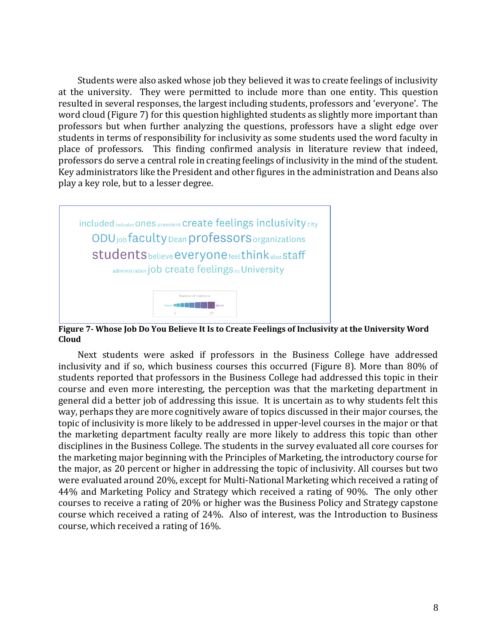Students were also asked whose job they believed it was to create feelings of inclusivity at the university. They were permitted to include more than one entity. This question resulted in several responses, the largest including students, professors and 'everyone'. The word cloud (Figure 7) for this question highlighted students as slightly more important than professors but when further analyzing the questions, professors have a slight edge over students in terms of responsibility for inclusivity as some students used the word faculty in place of professors. This finding confirmed analysis in literature review that indeed, professors do serve a central role in creating feelings of inclusivity in the mind of the student. Key administrators like the President and other figures in the administration and Deans also play a key role, but to a lesser degree.



**Figure 7- Whose Job Do You Believe It Is to Create Feelings of Inclusivity at the University Word Cloud**

Next students were asked if professors in the Business College have addressed inclusivity and if so, which business courses this occurred (Figure 8). More than 80% of students reported that professors in the Business College had addressed this topic in their course and even more interesting, the perception was that the marketing department in general did a better job of addressing this issue. It is uncertain as to why students felt this way, perhaps they are more cognitively aware of topics discussed in their major courses, the topic of inclusivity is more likely to be addressed in upper-level courses in the major or that the marketing department faculty really are more likely to address this topic than other disciplines in the Business College. The students in the survey evaluated all core courses for the marketing major beginning with the Principles of Marketing, the introductory course for the major, as 20 percent or higher in addressing the topic of inclusivity. All courses but two were evaluated around 20%, except for Multi-National Marketing which received a rating of 44% and Marketing Policy and Strategy which received a rating of 90%. The only other courses to receive a rating of 20% or higher was the Business Policy and Strategy capstone course which received a rating of 24%. Also of interest, was the Introduction to Business course, which received a rating of 16%.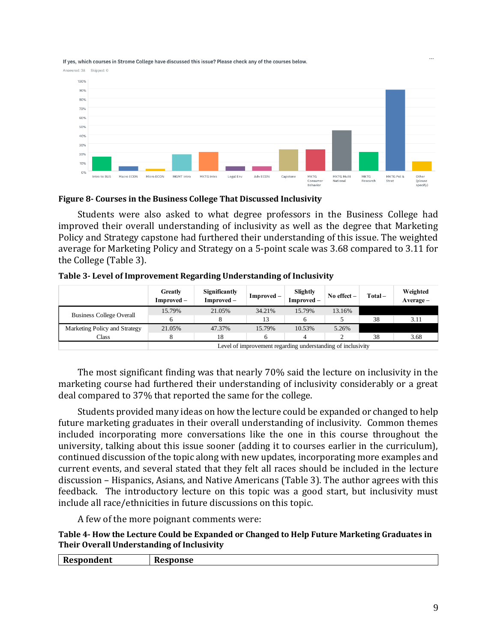If yes, which courses in Strome College have discussed this issue? Please check any of the courses below.

Answered: 38 Skipped: 0



#### **Figure 8- Courses in the Business College That Discussed Inclusivity**

Students were also asked to what degree professors in the Business College had improved their overall understanding of inclusivity as well as the degree that Marketing Policy and Strategy capstone had furthered their understanding of this issue. The weighted average for Marketing Policy and Strategy on a 5-point scale was 3.68 compared to 3.11 for the College (Table 3).

|  |  | Table 3- Level of Improvement Regarding Understanding of Inclusivity |  |
|--|--|----------------------------------------------------------------------|--|
|  |  |                                                                      |  |

|                                 | Greatly<br>Improved –                                       | <b>Significantly</b><br>Improved – | $Improved -$ | Slightly<br>Improved – | No effect $-$ | Total- | Weighted<br>$Average -$ |
|---------------------------------|-------------------------------------------------------------|------------------------------------|--------------|------------------------|---------------|--------|-------------------------|
|                                 | 15.79%                                                      | 21.05%                             | 34.21%       | 15.79%                 | 13.16%        |        |                         |
| <b>Business College Overall</b> |                                                             |                                    | 13           |                        |               | 38     | 3.11                    |
| Marketing Policy and Strategy   | 21.05%                                                      | 47.37%                             | 15.79%       | 10.53%                 | 5.26%         |        |                         |
| Class                           |                                                             | 18                                 |              | 4                      |               | 38     | 3.68                    |
|                                 | Level of improvement regarding understanding of inclusivity |                                    |              |                        |               |        |                         |

Level of improvement regarding understanding of inclusivity

The most significant finding was that nearly 70% said the lecture on inclusivity in the marketing course had furthered their understanding of inclusivity considerably or a great deal compared to 37% that reported the same for the college.

Students provided many ideas on how the lecture could be expanded or changed to help future marketing graduates in their overall understanding of inclusivity. Common themes included incorporating more conversations like the one in this course throughout the university, talking about this issue sooner (adding it to courses earlier in the curriculum), continued discussion of the topic along with new updates, incorporating more examples and current events, and several stated that they felt all races should be included in the lecture discussion – Hispanics, Asians, and Native Americans (Table 3). The author agrees with this feedback. The introductory lecture on this topic was a good start, but inclusivity must include all race/ethnicities in future discussions on this topic.

A few of the more poignant comments were:

**Table 4- How the Lecture Could be Expanded or Changed to Help Future Marketing Graduates in Their Overall Understanding of Inclusivity**

| Respondent | Response |
|------------|----------|
|            |          |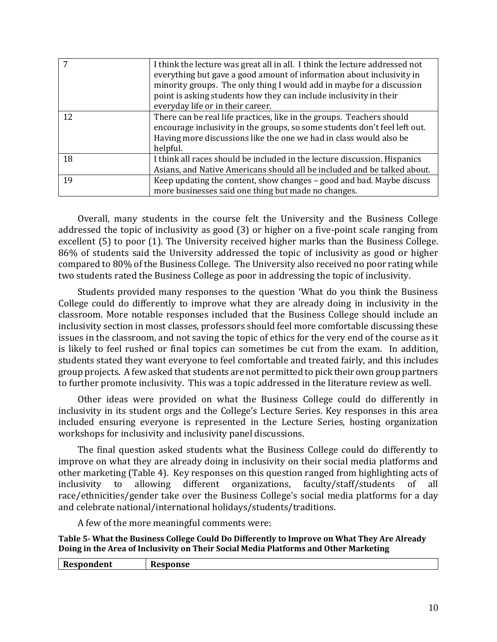|    | I think the lecture was great all in all. I think the lecture addressed not<br>everything but gave a good amount of information about inclusivity in<br>minority groups. The only thing I would add in maybe for a discussion<br>point is asking students how they can include inclusivity in their<br>everyday life or in their career. |
|----|------------------------------------------------------------------------------------------------------------------------------------------------------------------------------------------------------------------------------------------------------------------------------------------------------------------------------------------|
| 12 | There can be real life practices, like in the groups. Teachers should<br>encourage inclusivity in the groups, so some students don't feel left out.<br>Having more discussions like the one we had in class would also be<br>helpful.                                                                                                    |
| 18 | I think all races should be included in the lecture discussion. Hispanics<br>Asians, and Native Americans should all be included and be talked about.                                                                                                                                                                                    |
| 19 | Keep updating the content, show changes – good and bad. Maybe discuss<br>more businesses said one thing but made no changes.                                                                                                                                                                                                             |

Overall, many students in the course felt the University and the Business College addressed the topic of inclusivity as good (3) or higher on a five-point scale ranging from excellent (5) to poor (1). The University received higher marks than the Business College. 86% of students said the University addressed the topic of inclusivity as good or higher compared to 80% of the Business College. The University also received no poor rating while two students rated the Business College as poor in addressing the topic of inclusivity.

Students provided many responses to the question 'What do you think the Business College could do differently to improve what they are already doing in inclusivity in the classroom. More notable responses included that the Business College should include an inclusivity section in most classes, professors should feel more comfortable discussing these issues in the classroom, and not saving the topic of ethics for the very end of the course as it is likely to feel rushed or final topics can sometimes be cut from the exam. In addition, students stated they want everyone to feel comfortable and treated fairly, and this includes group projects. A few asked that students are not permitted to pick their own group partners to further promote inclusivity. This was a topic addressed in the literature review as well.

Other ideas were provided on what the Business College could do differently in inclusivity in its student orgs and the College's Lecture Series. Key responses in this area included ensuring everyone is represented in the Lecture Series, hosting organization workshops for inclusivity and inclusivity panel discussions.

The final question asked students what the Business College could do differently to improve on what they are already doing in inclusivity on their social media platforms and other marketing (Table 4). Key responses on this question ranged from highlighting acts of inclusivity to allowing different organizations, faculty/staff/students of all race/ethnicities/gender take over the Business College's social media platforms for a day and celebrate national/international holidays/students/traditions.

A few of the more meaningful comments were:

**Table 5- What the Business College Could Do Differently to Improve on What They Are Already Doing in the Area of Inclusivity on Their Social Media Platforms and Other Marketing**

| D<br>1000000000<br>dent<br>Resoon<br>$\sim$ | -<br>onse<br>__ |
|---------------------------------------------|-----------------|
|                                             |                 |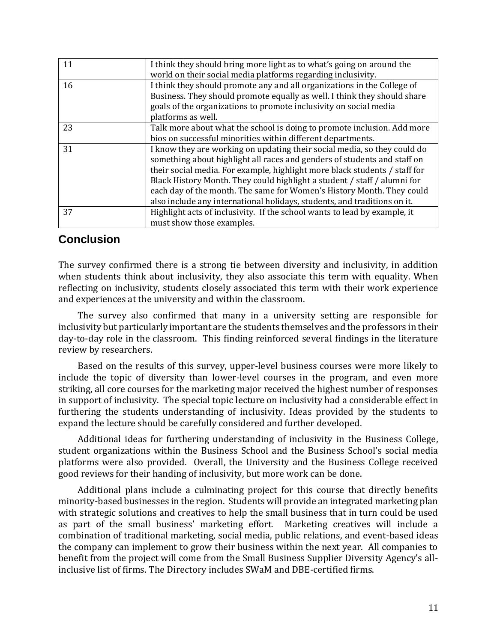| 11 | I think they should bring more light as to what's going on around the      |
|----|----------------------------------------------------------------------------|
|    | world on their social media platforms regarding inclusivity.               |
| 16 | I think they should promote any and all organizations in the College of    |
|    | Business. They should promote equally as well. I think they should share   |
|    | goals of the organizations to promote inclusivity on social media          |
|    | platforms as well.                                                         |
| 23 | Talk more about what the school is doing to promote inclusion. Add more    |
|    | bios on successful minorities within different departments.                |
| 31 | I know they are working on updating their social media, so they could do   |
|    | something about highlight all races and genders of students and staff on   |
|    | their social media. For example, highlight more black students / staff for |
|    | Black History Month. They could highlight a student / staff / alumni for   |
|    | each day of the month. The same for Women's History Month. They could      |
|    | also include any international holidays, students, and traditions on it.   |
| 37 | Highlight acts of inclusivity. If the school wants to lead by example, it  |
|    | must show those examples.                                                  |

## **Conclusion**

The survey confirmed there is a strong tie between diversity and inclusivity, in addition when students think about inclusivity, they also associate this term with equality. When reflecting on inclusivity, students closely associated this term with their work experience and experiences at the university and within the classroom.

The survey also confirmed that many in a university setting are responsible for inclusivity but particularly important are the students themselves and the professors in their day-to-day role in the classroom. This finding reinforced several findings in the literature review by researchers.

Based on the results of this survey, upper-level business courses were more likely to include the topic of diversity than lower-level courses in the program, and even more striking, all core courses for the marketing major received the highest number of responses in support of inclusivity. The special topic lecture on inclusivity had a considerable effect in furthering the students understanding of inclusivity. Ideas provided by the students to expand the lecture should be carefully considered and further developed.

Additional ideas for furthering understanding of inclusivity in the Business College, student organizations within the Business School and the Business School's social media platforms were also provided. Overall, the University and the Business College received good reviews for their handing of inclusivity, but more work can be done.

Additional plans include a culminating project for this course that directly benefits minority-based businesses in the region. Students will provide an integrated marketing plan with strategic solutions and creatives to help the small business that in turn could be used as part of the small business' marketing effort. Marketing creatives will include a combination of traditional marketing, social media, public relations, and event-based ideas the company can implement to grow their business within the next year. All companies to benefit from the project will come from the Small Business Supplier Diversity Agency's allinclusive list of firms. The Directory includes SWaM and DBE-certified firms.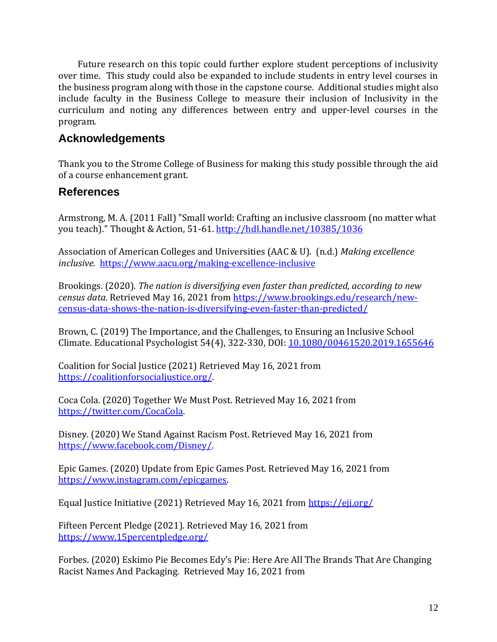Future research on this topic could further explore student perceptions of inclusivity over time. This study could also be expanded to include students in entry level courses in the business program along with those in the capstone course. Additional studies might also include faculty in the Business College to measure their inclusion of Inclusivity in the curriculum and noting any differences between entry and upper-level courses in the program.

## **Acknowledgements**

Thank you to the Strome College of Business for making this study possible through the aid of a course enhancement grant.

## **References**

Armstrong, M. A. (2011 Fall) "Small world: Crafting an inclusive classroom (no matter what you teach)." Thought & Action, 51-61.<http://hdl.handle.net/10385/1036>

Association of American Colleges and Universities (AAC & U). (n.d.) *Making excellence inclusive.* <https://www.aacu.org/making-excellence-inclusive>

Brookings. (2020). *The nation is diversifying even faster than predicted, according to new census data.* Retrieved May 16, 2021 from [https://www.brookings.edu/research/new](https://www.brookings.edu/research/new-census-data-shows-the-nation-is-diversifying-even-faster-than-predicted/)[census-data-shows-the-nation-is-diversifying-even-faster-than-predicted/](https://www.brookings.edu/research/new-census-data-shows-the-nation-is-diversifying-even-faster-than-predicted/)

Brown, C. (2019) The Importance, and the Challenges, to Ensuring an Inclusive School Climate. Educational Psychologist 54(4), 322-330, DOI: [10.1080/00461520.2019.1655646](https://doi.org/10.1080/00461520.2019.1655646)

Coalition for Social Justice (2021) Retrieved May 16, 2021 from [https://coalitionforsocialjustice.org/.](https://coalitionforsocialjustice.org/)

Coca Cola. (2020) Together We Must Post. Retrieved May 16, 2021 from [https://twitter.com/CocaCola.](https://twitter.com/CocaCola)

Disney. (2020) We Stand Against Racism Post. Retrieved May 16, 2021 from [https://www.facebook.com/Disney/.](https://www.facebook.com/Disney/)

Epic Games. (2020) Update from Epic Games Post. Retrieved May 16, 2021 from [https://www.instagram.com/epicgames.](https://www.instagram.com/epicgames)

Equal Justice Initiative (2021) Retrieved May 16, 2021 from<https://eji.org/>

Fifteen Percent Pledge (2021). Retrieved May 16, 2021 from <https://www.15percentpledge.org/>

Forbes. (2020) Eskimo Pie Becomes Edy's Pie: Here Are All The Brands That Are Changing Racist Names And Packaging. Retrieved May 16, 2021 from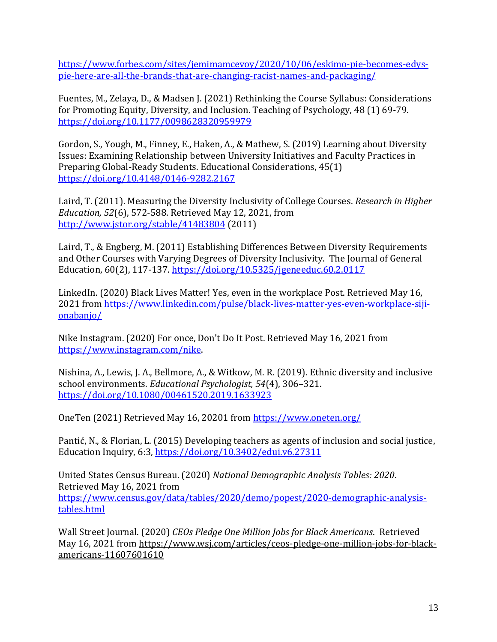[https://www.forbes.com/sites/jemimamcevoy/2020/10/06/eskimo-pie-becomes-edys](https://www.forbes.com/sites/jemimamcevoy/2020/10/06/eskimo-pie-becomes-edys-pie-here-are-all-the-brands-that-are-changing-racist-names-and-packaging/?sh=5952998756a7)[pie-here-are-all-the-brands-that-are-changing-racist-names-and-packaging/](https://www.forbes.com/sites/jemimamcevoy/2020/10/06/eskimo-pie-becomes-edys-pie-here-are-all-the-brands-that-are-changing-racist-names-and-packaging/?sh=5952998756a7)

Fuentes, M., Zelaya, D., & Madsen J. (2021) Rethinking the Course Syllabus: Considerations for Promoting Equity, Diversity, and Inclusion. Teaching of Psychology, 48 (1) 69-79. [https://doi.org/10.1177/0098628320959979](https://doi.org/10.1177%2F0098628320959979)

Gordon, S., Yough, M., Finney, E., Haken, A., & Mathew, S. (2019) Learning about Diversity Issues: Examining Relationship between University Initiatives and Faculty Practices in Preparing Global-Ready Students. Educational Considerations, 45(1) <https://doi.org/10.4148/0146-9282.2167>

Laird, T. (2011). Measuring the Diversity Inclusivity of College Courses. *Research in Higher Education, 52*(6), 572-588. Retrieved May 12, 2021, from <http://www.jstor.org/stable/41483804> (2011)

Laird, T., & Engberg, M. (2011) Establishing Differences Between Diversity Requirements and Other Courses with Varying Degrees of Diversity Inclusivity. The Journal of General Education, 60(2), 117-137.<https://doi.org/10.5325/jgeneeduc.60.2.0117>

LinkedIn. (2020) Black Lives Matter! Yes, even in the workplace Post. Retrieved May 16, 2021 from [https://www.linkedin.com/pulse/black-lives-matter-yes-even-workplace-siji](https://www.linkedin.com/pulse/black-lives-matter-yes-even-workplace-siji-onabanjo/)[onabanjo/](https://www.linkedin.com/pulse/black-lives-matter-yes-even-workplace-siji-onabanjo/)

Nike Instagram. (2020) For once, Don't Do It Post. Retrieved May 16, 2021 from [https://www.instagram.com/nike.](https://www.instagram.com/nike)

Nishina, A., Lewis, J. A., Bellmore, A., & Witkow, M. R. (2019). Ethnic diversity and inclusive school environments. *Educational Psychologist, 54*(4), 306–321. [https://doi.org/10.1080/00461520.2019.1633923](https://psycnet.apa.org/doi/10.1080/00461520.2019.1633923)

OneTen (2021) Retrieved May 16, 20201 from<https://www.oneten.org/>

Pantić, N., & Florian, L. (2015) Developing teachers as agents of inclusion and social justice, Education Inquiry, 6:3, <https://doi.org/10.3402/edui.v6.27311>

United States Census Bureau. (2020) *National Demographic Analysis Tables: 2020*. Retrieved May 16, 2021 from [https://www.census.gov/data/tables/2020/demo/popest/2020-demographic-analysis](https://www.census.gov/data/tables/2020/demo/popest/2020-demographic-analysis-tables.html)[tables.html](https://www.census.gov/data/tables/2020/demo/popest/2020-demographic-analysis-tables.html)

Wall Street Journal. (2020) *CEOs Pledge One Million Jobs for Black Americans*. Retrieved May 16, 2021 from [https://www.wsj.com/articles/ceos-pledge-one-million-jobs-for-black](https://www.wsj.com/articles/ceos-pledge-one-million-jobs-for-black-americans-11607601610)[americans-11607601610](https://www.wsj.com/articles/ceos-pledge-one-million-jobs-for-black-americans-11607601610)